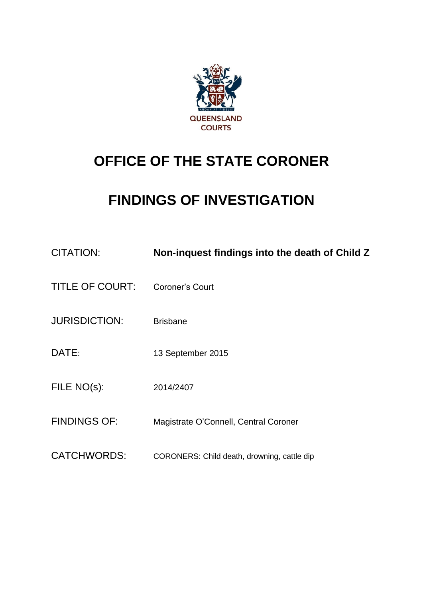

# **OFFICE OF THE STATE CORONER**

# **FINDINGS OF INVESTIGATION**

| <b>CITATION:</b>       | Non-inquest findings into the death of Child Z |
|------------------------|------------------------------------------------|
| <b>TITLE OF COURT:</b> | Coroner's Court                                |
| <b>JURISDICTION:</b>   | <b>Brisbane</b>                                |
| DATE:                  | 13 September 2015                              |
| FILE NO(s):            | 2014/2407                                      |
| <b>FINDINGS OF:</b>    | Magistrate O'Connell, Central Coroner          |
| <b>CATCHWORDS:</b>     | CORONERS: Child death, drowning, cattle dip    |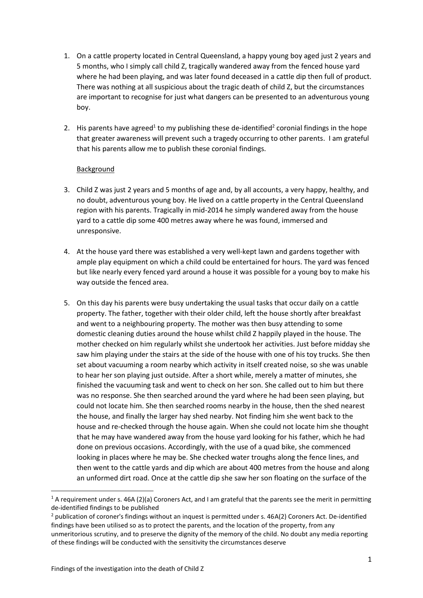- 1. On a cattle property located in Central Queensland, a happy young boy aged just 2 years and 5 months, who I simply call child Z, tragically wandered away from the fenced house yard where he had been playing, and was later found deceased in a cattle dip then full of product. There was nothing at all suspicious about the tragic death of child Z, but the circumstances are important to recognise for just what dangers can be presented to an adventurous young boy.
- 2. His parents have agreed<sup>1</sup> to my publishing these de-identified<sup>2</sup> coronial findings in the hope that greater awareness will prevent such a tragedy occurring to other parents. I am grateful that his parents allow me to publish these coronial findings.

#### Background

- 3. Child Z was just 2 years and 5 months of age and, by all accounts, a very happy, healthy, and no doubt, adventurous young boy. He lived on a cattle property in the Central Queensland region with his parents. Tragically in mid-2014 he simply wandered away from the house yard to a cattle dip some 400 metres away where he was found, immersed and unresponsive.
- 4. At the house yard there was established a very well-kept lawn and gardens together with ample play equipment on which a child could be entertained for hours. The yard was fenced but like nearly every fenced yard around a house it was possible for a young boy to make his way outside the fenced area.
- 5. On this day his parents were busy undertaking the usual tasks that occur daily on a cattle property. The father, together with their older child, left the house shortly after breakfast and went to a neighbouring property. The mother was then busy attending to some domestic cleaning duties around the house whilst child Z happily played in the house. The mother checked on him regularly whilst she undertook her activities. Just before midday she saw him playing under the stairs at the side of the house with one of his toy trucks. She then set about vacuuming a room nearby which activity in itself created noise, so she was unable to hear her son playing just outside. After a short while, merely a matter of minutes, she finished the vacuuming task and went to check on her son. She called out to him but there was no response. She then searched around the yard where he had been seen playing, but could not locate him. She then searched rooms nearby in the house, then the shed nearest the house, and finally the larger hay shed nearby. Not finding him she went back to the house and re-checked through the house again. When she could not locate him she thought that he may have wandered away from the house yard looking for his father, which he had done on previous occasions. Accordingly, with the use of a quad bike, she commenced looking in places where he may be. She checked water troughs along the fence lines, and then went to the cattle yards and dip which are about 400 metres from the house and along an unformed dirt road. Once at the cattle dip she saw her son floating on the surface of the

**.** 

 $1$  A requirement under s. 46A (2)(a) Coroners Act, and I am grateful that the parents see the merit in permitting de-identified findings to be published

<sup>&</sup>lt;sup>2</sup> publication of coroner's findings without an inquest is permitted under s. 46A(2) Coroners Act. De-identified findings have been utilised so as to protect the parents, and the location of the property, from any unmeritorious scrutiny, and to preserve the dignity of the memory of the child. No doubt any media reporting of these findings will be conducted with the sensitivity the circumstances deserve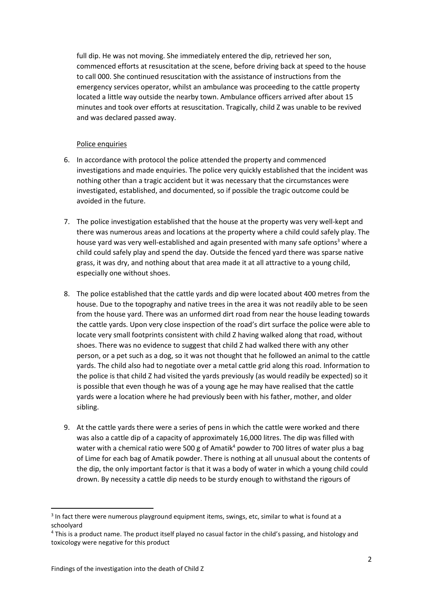full dip. He was not moving. She immediately entered the dip, retrieved her son, commenced efforts at resuscitation at the scene, before driving back at speed to the house to call 000. She continued resuscitation with the assistance of instructions from the emergency services operator, whilst an ambulance was proceeding to the cattle property located a little way outside the nearby town. Ambulance officers arrived after about 15 minutes and took over efforts at resuscitation. Tragically, child Z was unable to be revived and was declared passed away.

#### Police enquiries

- 6. In accordance with protocol the police attended the property and commenced investigations and made enquiries. The police very quickly established that the incident was nothing other than a tragic accident but it was necessary that the circumstances were investigated, established, and documented, so if possible the tragic outcome could be avoided in the future.
- 7. The police investigation established that the house at the property was very well-kept and there was numerous areas and locations at the property where a child could safely play. The house yard was very well-established and again presented with many safe options<sup>3</sup> where a child could safely play and spend the day. Outside the fenced yard there was sparse native grass, it was dry, and nothing about that area made it at all attractive to a young child, especially one without shoes.
- 8. The police established that the cattle yards and dip were located about 400 metres from the house. Due to the topography and native trees in the area it was not readily able to be seen from the house yard. There was an unformed dirt road from near the house leading towards the cattle yards. Upon very close inspection of the road's dirt surface the police were able to locate very small footprints consistent with child Z having walked along that road, without shoes. There was no evidence to suggest that child Z had walked there with any other person, or a pet such as a dog, so it was not thought that he followed an animal to the cattle yards. The child also had to negotiate over a metal cattle grid along this road. Information to the police is that child Z had visited the yards previously (as would readily be expected) so it is possible that even though he was of a young age he may have realised that the cattle yards were a location where he had previously been with his father, mother, and older sibling.
- 9. At the cattle yards there were a series of pens in which the cattle were worked and there was also a cattle dip of a capacity of approximately 16,000 litres. The dip was filled with water with a chemical ratio were 500 g of Amatik<sup>4</sup> powder to 700 litres of water plus a bag of Lime for each bag of Amatik powder. There is nothing at all unusual about the contents of the dip, the only important factor is that it was a body of water in which a young child could drown. By necessity a cattle dip needs to be sturdy enough to withstand the rigours of

**.** 

<sup>&</sup>lt;sup>3</sup> In fact there were numerous playground equipment items, swings, etc, similar to what is found at a schoolyard

<sup>&</sup>lt;sup>4</sup> This is a product name. The product itself played no casual factor in the child's passing, and histology and toxicology were negative for this product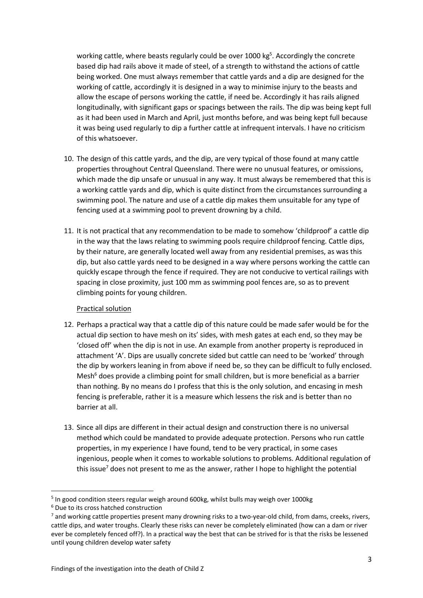working cattle, where beasts regularly could be over 1000 kg<sup>5</sup>. Accordingly the concrete based dip had rails above it made of steel, of a strength to withstand the actions of cattle being worked. One must always remember that cattle yards and a dip are designed for the working of cattle, accordingly it is designed in a way to minimise injury to the beasts and allow the escape of persons working the cattle, if need be. Accordingly it has rails aligned longitudinally, with significant gaps or spacings between the rails. The dip was being kept full as it had been used in March and April, just months before, and was being kept full because it was being used regularly to dip a further cattle at infrequent intervals. I have no criticism of this whatsoever.

- 10. The design of this cattle yards, and the dip, are very typical of those found at many cattle properties throughout Central Queensland. There were no unusual features, or omissions, which made the dip unsafe or unusual in any way. It must always be remembered that this is a working cattle yards and dip, which is quite distinct from the circumstances surrounding a swimming pool. The nature and use of a cattle dip makes them unsuitable for any type of fencing used at a swimming pool to prevent drowning by a child.
- 11. It is not practical that any recommendation to be made to somehow 'childproof' a cattle dip in the way that the laws relating to swimming pools require childproof fencing. Cattle dips, by their nature, are generally located well away from any residential premises, as was this dip, but also cattle yards need to be designed in a way where persons working the cattle can quickly escape through the fence if required. They are not conducive to vertical railings with spacing in close proximity, just 100 mm as swimming pool fences are, so as to prevent climbing points for young children.

#### Practical solution

- 12. Perhaps a practical way that a cattle dip of this nature could be made safer would be for the actual dip section to have mesh on its' sides, with mesh gates at each end, so they may be 'closed off' when the dip is not in use. An example from another property is reproduced in attachment 'A'. Dips are usually concrete sided but cattle can need to be 'worked' through the dip by workers leaning in from above if need be, so they can be difficult to fully enclosed. Mesh<sup>6</sup> does provide a climbing point for small children, but is more beneficial as a barrier than nothing. By no means do I profess that this is the only solution, and encasing in mesh fencing is preferable, rather it is a measure which lessens the risk and is better than no barrier at all.
- 13. Since all dips are different in their actual design and construction there is no universal method which could be mandated to provide adequate protection. Persons who run cattle properties, in my experience I have found, tend to be very practical, in some cases ingenious, people when it comes to workable solutions to problems. Additional regulation of this issue<sup>7</sup> does not present to me as the answer, rather I hope to highlight the potential

**.** 

<sup>&</sup>lt;sup>5</sup> In good condition steers regular weigh around 600kg, whilst bulls may weigh over 1000kg

<sup>6</sup> Due to its cross hatched construction

<sup>&</sup>lt;sup>7</sup> and working cattle properties present many drowning risks to a two-year-old child, from dams, creeks, rivers, cattle dips, and water troughs. Clearly these risks can never be completely eliminated (how can a dam or river ever be completely fenced off?). In a practical way the best that can be strived for is that the risks be lessened until young children develop water safety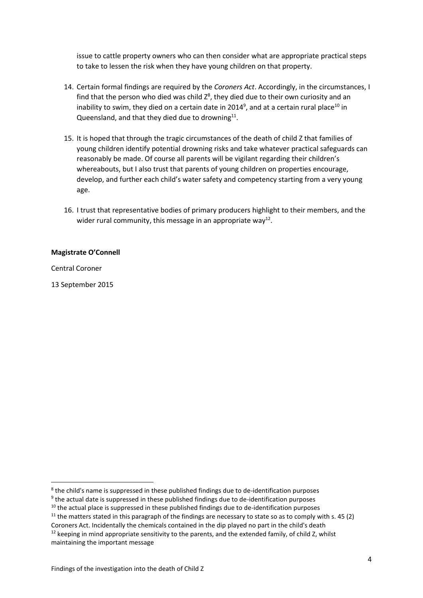issue to cattle property owners who can then consider what are appropriate practical steps to take to lessen the risk when they have young children on that property.

- 14. Certain formal findings are required by the *Coroners Act*. Accordingly, in the circumstances, I find that the person who died was child  $Z^8$ , they died due to their own curiosity and an inability to swim, they died on a certain date in 2014<sup>9</sup>, and at a certain rural place<sup>10</sup> in Queensland, and that they died due to drowning $^{11}$ .
- 15. It is hoped that through the tragic circumstances of the death of child Z that families of young children identify potential drowning risks and take whatever practical safeguards can reasonably be made. Of course all parents will be vigilant regarding their children's whereabouts, but I also trust that parents of young children on properties encourage, develop, and further each child's water safety and competency starting from a very young age.
- 16. I trust that representative bodies of primary producers highlight to their members, and the wider rural community, this message in an appropriate way<sup>12</sup>.

#### **Magistrate O'Connell**

Central Coroner

 $\overline{a}$ 

13 September 2015

<sup>&</sup>lt;sup>8</sup> the child's name is suppressed in these published findings due to de-identification purposes

<sup>&</sup>lt;sup>9</sup> the actual date is suppressed in these published findings due to de-identification purposes

 $10$  the actual place is suppressed in these published findings due to de-identification purposes

 $11$  the matters stated in this paragraph of the findings are necessary to state so as to comply with s. 45 (2)

Coroners Act. Incidentally the chemicals contained in the dip played no part in the child's death  $12$  keeping in mind appropriate sensitivity to the parents, and the extended family, of child Z, whilst maintaining the important message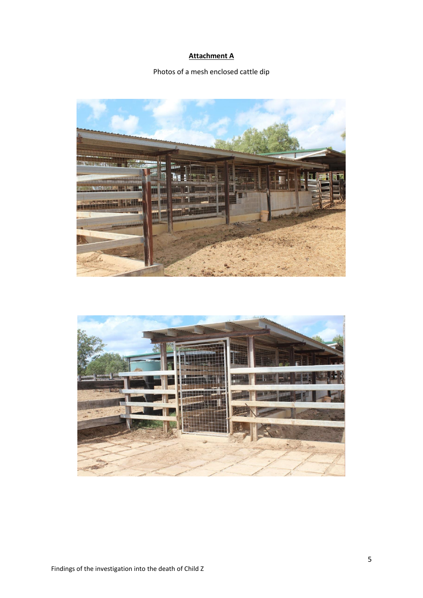### **Attachment A**

### Photos of a mesh enclosed cattle dip